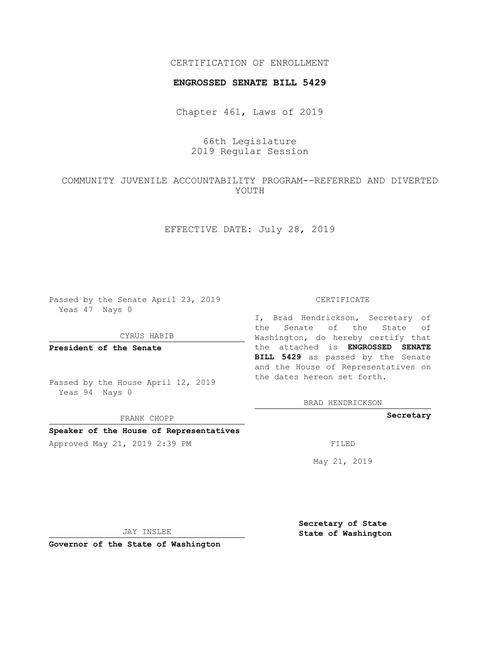## CERTIFICATION OF ENROLLMENT

#### **ENGROSSED SENATE BILL 5429**

Chapter 461, Laws of 2019

# 66th Legislature 2019 Regular Session

# COMMUNITY JUVENILE ACCOUNTABILITY PROGRAM--REFERRED AND DIVERTED YOUTH

## EFFECTIVE DATE: July 28, 2019

Passed by the Senate April 23, 2019 Yeas 47 Nays 0

CYRUS HABIB

**President of the Senate**

Passed by the House April 12, 2019 Yeas 94 Nays 0

FRANK CHOPP

### **Speaker of the House of Representatives**

Approved May 21, 2019 2:39 PM FILED

#### CERTIFICATE

I, Brad Hendrickson, Secretary of the Senate of the State of Washington, do hereby certify that the attached is **ENGROSSED SENATE BILL 5429** as passed by the Senate and the House of Representatives on the dates hereon set forth.

BRAD HENDRICKSON

**Secretary**

May 21, 2019

JAY INSLEE

**Governor of the State of Washington**

**Secretary of State State of Washington**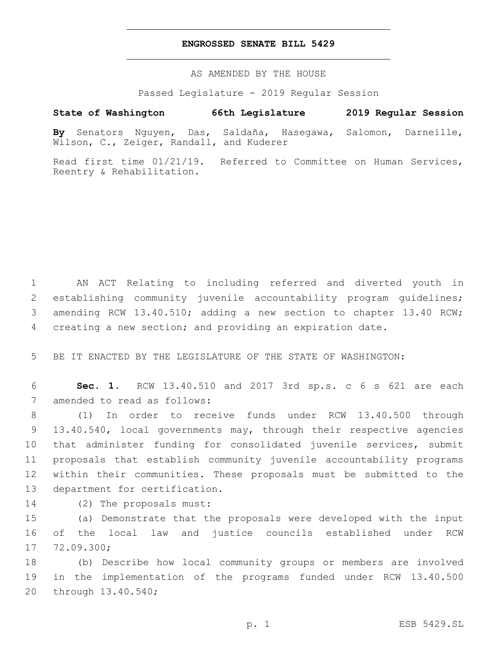### **ENGROSSED SENATE BILL 5429**

AS AMENDED BY THE HOUSE

Passed Legislature - 2019 Regular Session

## **State of Washington 66th Legislature 2019 Regular Session**

**By** Senators Nguyen, Das, Saldaña, Hasegawa, Salomon, Darneille, Wilson, C., Zeiger, Randall, and Kuderer

Read first time 01/21/19. Referred to Committee on Human Services, Reentry & Rehabilitation.

 AN ACT Relating to including referred and diverted youth in establishing community juvenile accountability program guidelines; amending RCW 13.40.510; adding a new section to chapter 13.40 RCW; creating a new section; and providing an expiration date.

5 BE IT ENACTED BY THE LEGISLATURE OF THE STATE OF WASHINGTON:

6 **Sec. 1.** RCW 13.40.510 and 2017 3rd sp.s. c 6 s 621 are each 7 amended to read as follows:

 (1) In order to receive funds under RCW 13.40.500 through 13.40.540, local governments may, through their respective agencies that administer funding for consolidated juvenile services, submit proposals that establish community juvenile accountability programs within their communities. These proposals must be submitted to the 13 department for certification.

14 (2) The proposals must:

15 (a) Demonstrate that the proposals were developed with the input 16 of the local law and justice councils established under RCW 17 72.09.300;

18 (b) Describe how local community groups or members are involved 19 in the implementation of the programs funded under RCW 13.40.500 20 through 13.40.540;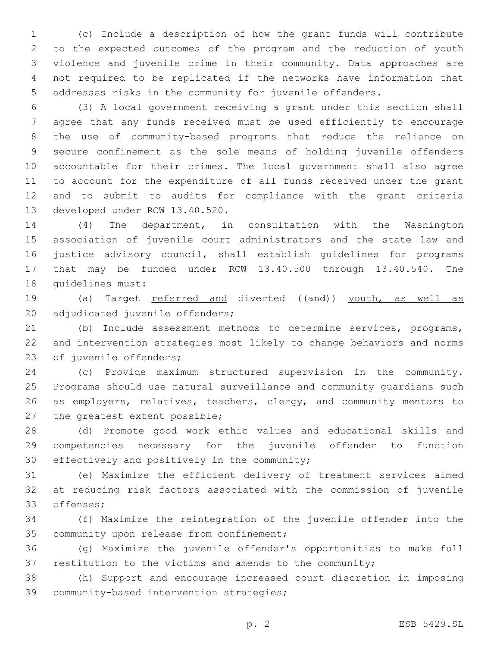(c) Include a description of how the grant funds will contribute to the expected outcomes of the program and the reduction of youth violence and juvenile crime in their community. Data approaches are not required to be replicated if the networks have information that addresses risks in the community for juvenile offenders.

 (3) A local government receiving a grant under this section shall agree that any funds received must be used efficiently to encourage the use of community-based programs that reduce the reliance on secure confinement as the sole means of holding juvenile offenders accountable for their crimes. The local government shall also agree to account for the expenditure of all funds received under the grant and to submit to audits for compliance with the grant criteria 13 developed under RCW 13.40.520.

 (4) The department, in consultation with the Washington association of juvenile court administrators and the state law and justice advisory council, shall establish guidelines for programs that may be funded under RCW 13.40.500 through 13.40.540. The 18 quidelines must:

19 (a) Target referred and diverted ((and)) youth, as well as 20 adjudicated juvenile offenders;

 (b) Include assessment methods to determine services, programs, and intervention strategies most likely to change behaviors and norms 23 of juvenile offenders;

 (c) Provide maximum structured supervision in the community. Programs should use natural surveillance and community guardians such 26 as employers, relatives, teachers, clergy, and community mentors to 27 the greatest extent possible;

 (d) Promote good work ethic values and educational skills and competencies necessary for the juvenile offender to function 30 effectively and positively in the community;

 (e) Maximize the efficient delivery of treatment services aimed at reducing risk factors associated with the commission of juvenile 33 offenses;

 (f) Maximize the reintegration of the juvenile offender into the 35 community upon release from confinement;

 (g) Maximize the juvenile offender's opportunities to make full 37 restitution to the victims and amends to the community;

 (h) Support and encourage increased court discretion in imposing 39 community-based intervention strategies;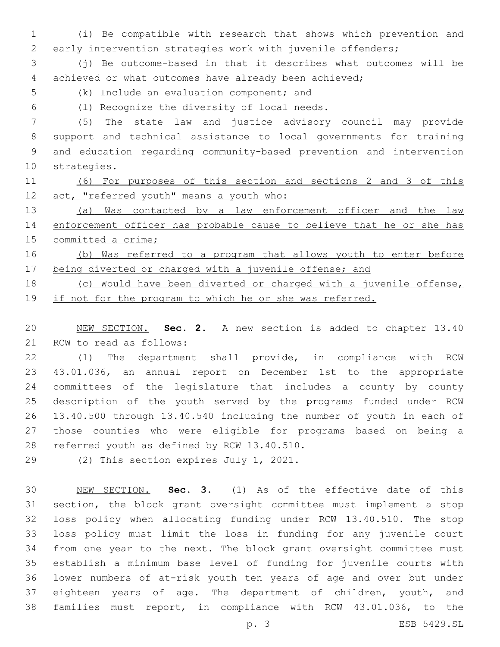(i) Be compatible with research that shows which prevention and early intervention strategies work with juvenile offenders;

 (j) Be outcome-based in that it describes what outcomes will be achieved or what outcomes have already been achieved;

5 (k) Include an evaluation component; and

(l) Recognize the diversity of local needs.6

 (5) The state law and justice advisory council may provide support and technical assistance to local governments for training and education regarding community-based prevention and intervention 10 strategies.

 (6) For purposes of this section and sections 2 and 3 of this 12 act, "referred youth" means a youth who:

 (a) Was contacted by a law enforcement officer and the law enforcement officer has probable cause to believe that he or she has committed a crime;

 (b) Was referred to a program that allows youth to enter before 17 being diverted or charged with a juvenile offense; and

 (c) Would have been diverted or charged with a juvenile offense, 19 if not for the program to which he or she was referred.

 NEW SECTION. **Sec. 2.** A new section is added to chapter 13.40 21 RCW to read as follows:

 (1) The department shall provide, in compliance with RCW 43.01.036, an annual report on December 1st to the appropriate committees of the legislature that includes a county by county description of the youth served by the programs funded under RCW 13.40.500 through 13.40.540 including the number of youth in each of those counties who were eligible for programs based on being a 28 referred youth as defined by RCW 13.40.510.

29 (2) This section expires July 1, 2021.

 NEW SECTION. **Sec. 3.** (1) As of the effective date of this section, the block grant oversight committee must implement a stop loss policy when allocating funding under RCW 13.40.510. The stop loss policy must limit the loss in funding for any juvenile court from one year to the next. The block grant oversight committee must establish a minimum base level of funding for juvenile courts with lower numbers of at-risk youth ten years of age and over but under 37 eighteen years of age. The department of children, youth, and families must report, in compliance with RCW 43.01.036, to the